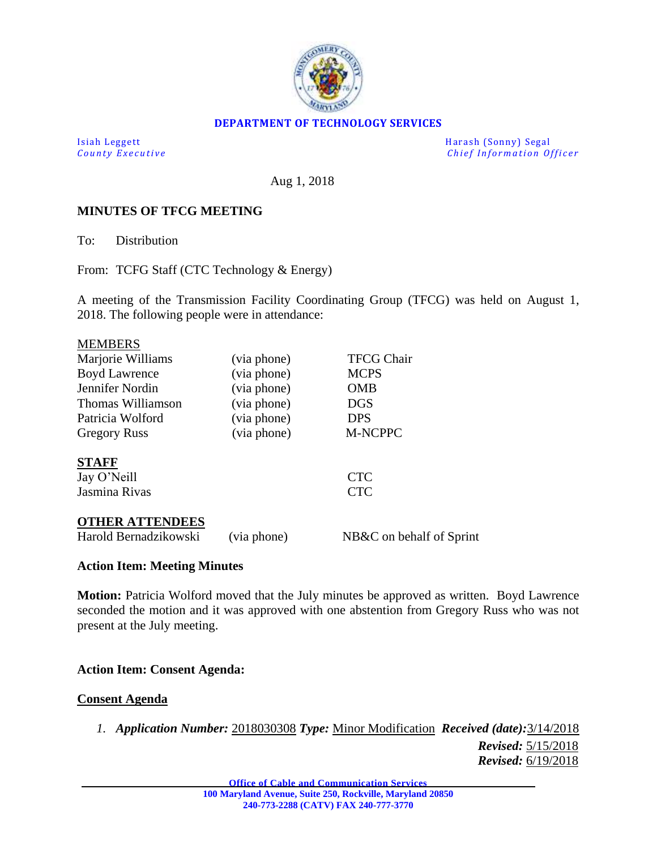

## **DEPARTMENT OF TECHNOLOGY SERVICES**

Isiah Leggett Harash (Sonny) Segal *Chief Information Officer* 

Aug 1, 2018

# **MINUTES OF TFCG MEETING**

To: Distribution

From: TCFG Staff (CTC Technology & Energy)

A meeting of the Transmission Facility Coordinating Group (TFCG) was held on August 1, 2018. The following people were in attendance:

| <b>MEMBERS</b>         |             |                          |
|------------------------|-------------|--------------------------|
| Marjorie Williams      | (via phone) | <b>TFCG Chair</b>        |
| <b>Boyd Lawrence</b>   | (via phone) | <b>MCPS</b>              |
| Jennifer Nordin        | (via phone) | <b>OMB</b>               |
| Thomas Williamson      | (via phone) | <b>DGS</b>               |
| Patricia Wolford       | (via phone) | <b>DPS</b>               |
| <b>Gregory Russ</b>    | (via phone) | <b>M-NCPPC</b>           |
| <b>STAFF</b>           |             |                          |
| Jay O'Neill            |             | <b>CTC</b>               |
| Jasmina Rivas          |             | <b>CTC</b>               |
| <b>OTHER ATTENDEES</b> |             |                          |
| Harold Bernadzikowski  | (via phone) | NB&C on behalf of Sprint |

## **Action Item: Meeting Minutes**

**Motion:** Patricia Wolford moved that the July minutes be approved as written. Boyd Lawrence seconded the motion and it was approved with one abstention from Gregory Russ who was not present at the July meeting.

## **Action Item: Consent Agenda:**

### **Consent Agenda**

*1. Application Number:* 2018030308 *Type:* Minor Modification *Received (date):*3/14/2018 *Revised:* 5/15/2018 *Revised:* 6/19/2018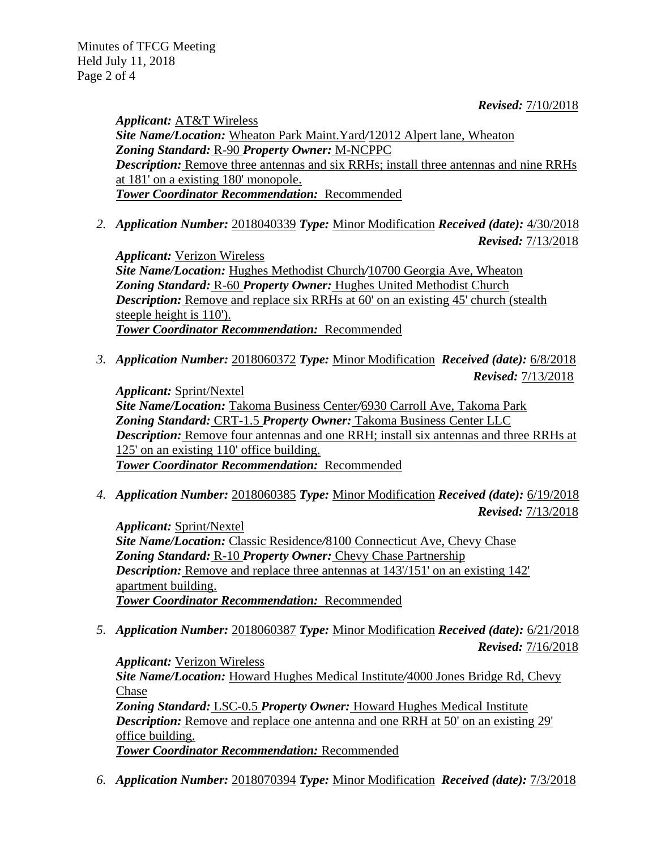Minutes of TFCG Meeting Held July 11, 2018 Page 2 of 4

*Revised:* 7/10/2018

*Applicant:* AT&T Wireless *Site Name/Location:* Wheaton Park Maint.Yard*/*12012 Alpert lane, Wheaton *Zoning Standard:* R-90 *Property Owner:* M-NCPPC *Description:* Remove three antennas and six RRHs; install three antennas and nine RRHs at 181' on a existing 180' monopole. *Tower Coordinator Recommendation:* Recommended

*2. Application Number:* 2018040339 *Type:* Minor Modification *Received (date):* 4/30/2018 *Revised:* 7/13/2018

*Applicant:* Verizon Wireless *Site Name/Location:* Hughes Methodist Church*/*10700 Georgia Ave, Wheaton *Zoning Standard:* R-60 *Property Owner:* Hughes United Methodist Church *Description:* Remove and replace six RRHs at 60' on an existing 45' church (stealth) steeple height is 110'). *Tower Coordinator Recommendation:* Recommended

*3. Application Number:* 2018060372 *Type:* Minor Modification *Received (date):* 6/8/2018 *Revised:* 7/13/2018

*Applicant:* Sprint/Nextel *Site Name/Location:* Takoma Business Center*/*6930 Carroll Ave, Takoma Park *Zoning Standard:* CRT-1.5 *Property Owner:* Takoma Business Center LLC *Description:* Remove four antennas and one RRH; install six antennas and three RRHs at 125' on an existing 110' office building. *Tower Coordinator Recommendation:* Recommended

*4. Application Number:* 2018060385 *Type:* Minor Modification *Received (date):* 6/19/2018 *Revised:* 7/13/2018

*Applicant:* Sprint/Nextel *Site Name/Location:* Classic Residence*/*8100 Connecticut Ave, Chevy Chase *Zoning Standard:* R-10 *Property Owner:* Chevy Chase Partnership *Description:* Remove and replace three antennas at 143'/151' on an existing 142' apartment building. *Tower Coordinator Recommendation:* Recommended

*5. Application Number:* 2018060387 *Type:* Minor Modification *Received (date):* 6/21/2018 *Revised:* 7/16/2018

*Applicant:* Verizon Wireless *Site Name/Location:* Howard Hughes Medical Institute*/*4000 Jones Bridge Rd, Chevy Chase *Zoning Standard:* LSC-0.5 *Property Owner:* Howard Hughes Medical Institute *Description:* Remove and replace one antenna and one RRH at 50' on an existing 29' office building. *Tower Coordinator Recommendation:* Recommended

*6. Application Number:* 2018070394 *Type:* Minor Modification *Received (date):* 7/3/2018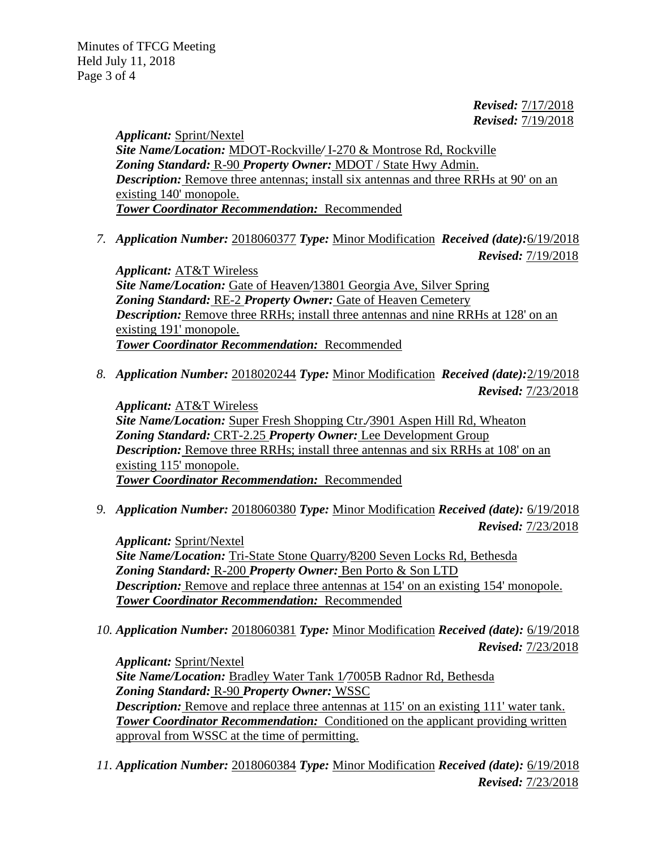*Revised:* 7/17/2018 *Revised:* 7/19/2018

*Applicant:* Sprint/Nextel *Site Name/Location:* MDOT-Rockville*/* I-270 & Montrose Rd, Rockville *Zoning Standard:* R-90 *Property Owner:* MDOT / State Hwy Admin. *Description:* Remove three antennas; install six antennas and three RRHs at 90' on an existing 140' monopole. *Tower Coordinator Recommendation:* Recommended

*7. Application Number:* 2018060377 *Type:* Minor Modification *Received (date):*6/19/2018 *Revised:* 7/19/2018

*Applicant:* AT&T Wireless *Site Name/Location:* Gate of Heaven*/*13801 Georgia Ave, Silver Spring *Zoning Standard:* RE-2 *Property Owner:* Gate of Heaven Cemetery *Description:* Remove three RRHs; install three antennas and nine RRHs at 128' on an existing 191' monopole. *Tower Coordinator Recommendation:* Recommended

*8. Application Number:* 2018020244 *Type:* Minor Modification *Received (date):*2/19/2018 *Revised:* 7/23/2018

*Applicant:* AT&T Wireless *Site Name/Location:* Super Fresh Shopping Ctr.*/*3901 Aspen Hill Rd, Wheaton *Zoning Standard:* CRT-2.25 *Property Owner:* Lee Development Group *Description:* Remove three RRHs; install three antennas and six RRHs at 108' on an existing 115' monopole. *Tower Coordinator Recommendation:* Recommended

*9. Application Number:* 2018060380 *Type:* Minor Modification *Received (date):* 6/19/2018 *Revised:* 7/23/2018

*Applicant:* Sprint/Nextel *Site Name/Location:* Tri-State Stone Quarry*/*8200 Seven Locks Rd, Bethesda *Zoning Standard:* R-200 *Property Owner:* Ben Porto & Son LTD *Description:* Remove and replace three antennas at 154' on an existing 154' monopole. *Tower Coordinator Recommendation:* Recommended

*10. Application Number:* 2018060381 *Type:* Minor Modification *Received (date):* 6/19/2018 *Revised:* 7/23/2018

*Applicant:* Sprint/Nextel *Site Name/Location:* Bradley Water Tank 1*/*7005B Radnor Rd, Bethesda *Zoning Standard:* R-90 *Property Owner:* WSSC *Description:* Remove and replace three antennas at 115' on an existing 111' water tank. **Tower Coordinator Recommendation:** Conditioned on the applicant providing written approval from WSSC at the time of permitting.

*11. Application Number:* 2018060384 *Type:* Minor Modification *Received (date):* 6/19/2018 *Revised:* 7/23/2018